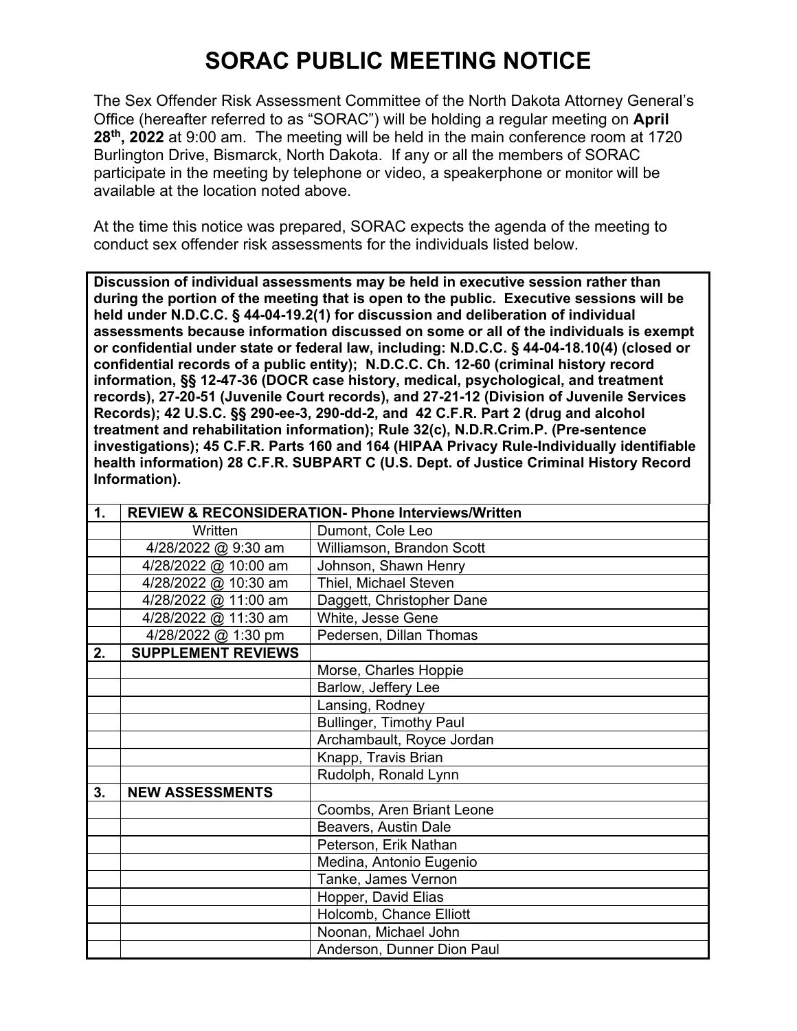## **SORAC PUBLIC MEETING NOTICE**

The Sex Offender Risk Assessment Committee of the North Dakota Attorney General's Office (hereafter referred to as "SORAC") will be holding a regular meeting on **April 28th, 2022** at 9:00 am. The meeting will be held in the main conference room at 1720 Burlington Drive, Bismarck, North Dakota. If any or all the members of SORAC participate in the meeting by telephone or video, a speakerphone or monitor will be available at the location noted above.

At the time this notice was prepared, SORAC expects the agenda of the meeting to conduct sex offender risk assessments for the individuals listed below.

**Discussion of individual assessments may be held in executive session rather than during the portion of the meeting that is open to the public. Executive sessions will be held under N.D.C.C. § 44-04-19.2(1) for discussion and deliberation of individual assessments because information discussed on some or all of the individuals is exempt or confidential under state or federal law, including: N.D.C.C. § 44-04-18.10(4) (closed or confidential records of a public entity); N.D.C.C. Ch. 12-60 (criminal history record information, §§ 12-47-36 (DOCR case history, medical, psychological, and treatment records), 27-20-51 (Juvenile Court records), and 27-21-12 (Division of Juvenile Services Records); 42 U.S.C. §§ 290-ee-3, 290-dd-2, and 42 C.F.R. Part 2 (drug and alcohol treatment and rehabilitation information); Rule 32(c), N.D.R.Crim.P. (Pre-sentence investigations); 45 C.F.R. Parts 160 and 164 (HIPAA Privacy Rule-Individually identifiable health information) 28 C.F.R. SUBPART C (U.S. Dept. of Justice Criminal History Record Information).** 

| $\mathbf{1}$ . | <b>REVIEW &amp; RECONSIDERATION- Phone Interviews/Written</b> |                                |
|----------------|---------------------------------------------------------------|--------------------------------|
|                | Written                                                       | Dumont, Cole Leo               |
|                | 4/28/2022 @ 9:30 am                                           | Williamson, Brandon Scott      |
|                | 4/28/2022 @ 10:00 am                                          | Johnson, Shawn Henry           |
|                | 4/28/2022 @ 10:30 am                                          | Thiel, Michael Steven          |
|                | 4/28/2022 @ 11:00 am                                          | Daggett, Christopher Dane      |
|                | 4/28/2022 @ 11:30 am                                          | White, Jesse Gene              |
|                | 4/28/2022 @ 1:30 pm                                           | Pedersen, Dillan Thomas        |
| 2.             | <b>SUPPLEMENT REVIEWS</b>                                     |                                |
|                |                                                               | Morse, Charles Hoppie          |
|                |                                                               | Barlow, Jeffery Lee            |
|                |                                                               | Lansing, Rodney                |
|                |                                                               | <b>Bullinger, Timothy Paul</b> |
|                |                                                               | Archambault, Royce Jordan      |
|                |                                                               | Knapp, Travis Brian            |
|                |                                                               | Rudolph, Ronald Lynn           |
| 3.             | <b>NEW ASSESSMENTS</b>                                        |                                |
|                |                                                               | Coombs, Aren Briant Leone      |
|                |                                                               | Beavers, Austin Dale           |
|                |                                                               | Peterson, Erik Nathan          |
|                |                                                               | Medina, Antonio Eugenio        |
|                |                                                               | Tanke, James Vernon            |
|                |                                                               | Hopper, David Elias            |
|                |                                                               | Holcomb, Chance Elliott        |
|                |                                                               | Noonan, Michael John           |
|                |                                                               | Anderson, Dunner Dion Paul     |